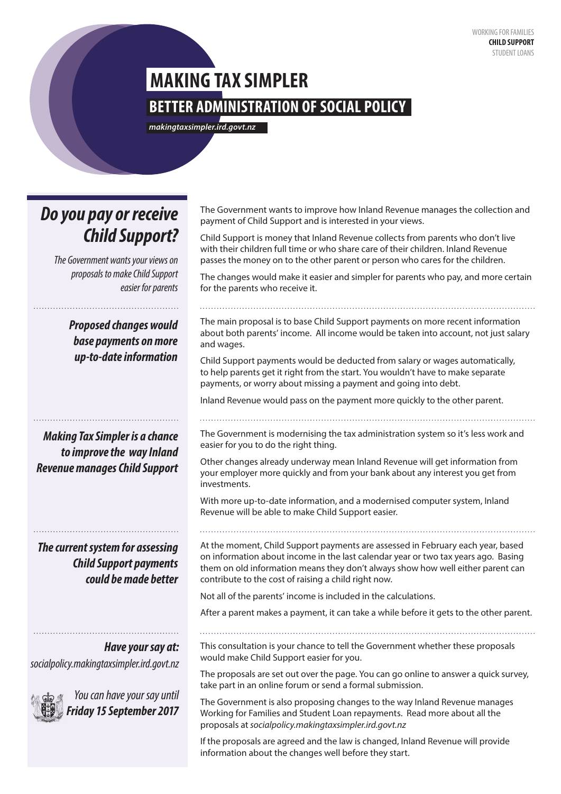# **BETTER ADMINISTRATION OF SOCIAL POLICY MAKING TAX SIMPLER**

*makingtaxsimpler.ird.govt.nz*

# *Do you pay or receive Child Support?*

*The Government wants your views on proposals to make Child Support easier for parents*

> *Proposed changes would base payments on more up-to-date information*

*Making Tax Simpler is a chance to improve the way Inland Revenue manages Child Support*

*The current system for assessing Child Support payments could be made better* 

*Have your say at: socialpolicy.makingtaxsimpler.ird.govt.nz*



*You can have your say until Friday 15 September 2017*

The Government wants to improve how Inland Revenue manages the collection and payment of Child Support and is interested in your views.

Child Support is money that Inland Revenue collects from parents who don't live with their children full time or who share care of their children. Inland Revenue passes the money on to the other parent or person who cares for the children.

The changes would make it easier and simpler for parents who pay, and more certain for the parents who receive it.

The main proposal is to base Child Support payments on more recent information about both parents' income. All income would be taken into account, not just salary and wages.

Child Support payments would be deducted from salary or wages automatically, to help parents get it right from the start. You wouldn't have to make separate payments, or worry about missing a payment and going into debt.

Inland Revenue would pass on the payment more quickly to the other parent.

The Government is modernising the tax administration system so it's less work and easier for you to do the right thing.

Other changes already underway mean Inland Revenue will get information from your employer more quickly and from your bank about any interest you get from investments.

With more up-to-date information, and a modernised computer system, Inland Revenue will be able to make Child Support easier.

At the moment, Child Support payments are assessed in February each year, based on information about income in the last calendar year or two tax years ago. Basing them on old information means they don't always show how well either parent can contribute to the cost of raising a child right now.

Not all of the parents' income is included in the calculations.

After a parent makes a payment, it can take a while before it gets to the other parent.

This consultation is your chance to tell the Government whether these proposals would make Child Support easier for you.

The proposals are set out over the page. You can go online to answer a quick survey, take part in an online forum or send a formal submission.

The Government is also proposing changes to the way Inland Revenue manages Working for Families and Student Loan repayments. Read more about all the proposals at *socialpolicy.makingtaxsimpler.ird.govt.nz* 

If the proposals are agreed and the law is changed, Inland Revenue will provide information about the changes well before they start.